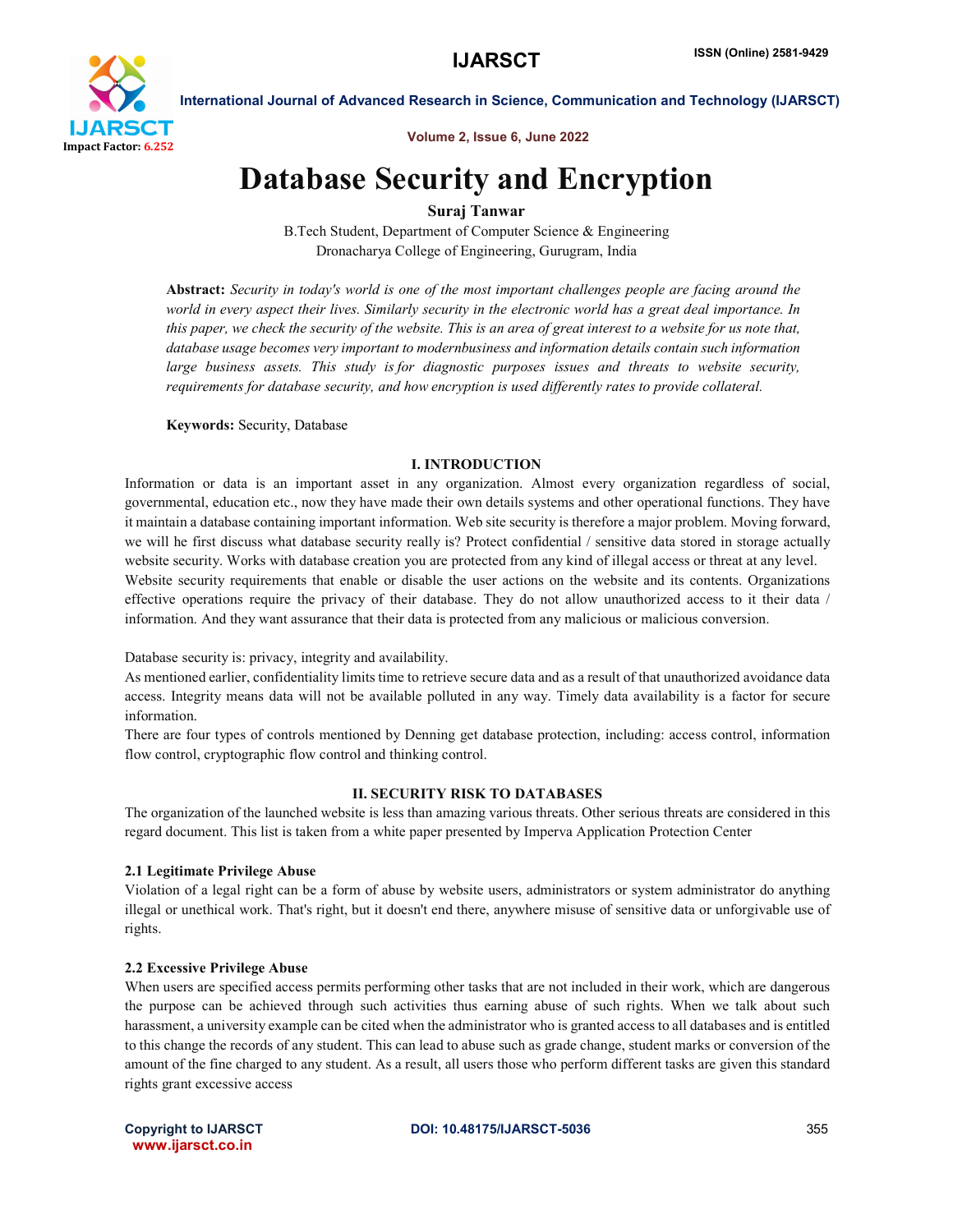

International Journal of Advanced Research in Science, Communication and Technology (IJARSCT)

Volume 2, Issue 6, June 2022

# Database Security and Encryption

# Suraj Tanwar

B.Tech Student, Department of Computer Science & Engineering Dronacharya College of Engineering, Gurugram, India

Abstract: *Security in today's world is one of the most important challenges people are facing around the world in every aspect their lives. Similarly security in the electronic world has a great deal importance. In this paper, we check the security of the website. This is an area of great interest to a website for us note that, database usage becomes very important to modernbusiness and information details contain such information large business assets. This study is for diagnostic purposes issues and threats to website security, requirements for database security, and how encryption is used differently rates to provide collateral.*

Keywords: Security, Database

#### I. INTRODUCTION

Information or data is an important asset in any organization. Almost every organization regardless of social, governmental, education etc., now they have made their own details systems and other operational functions. They have it maintain a database containing important information. Web site security is therefore a major problem. Moving forward, we will he first discuss what database security really is? Protect confidential / sensitive data stored in storage actually website security. Works with database creation you are protected from any kind of illegal access or threat at any level. Website security requirements that enable or disable the user actions on the website and its contents. Organizations effective operations require the privacy of their database. They do not allow unauthorized access to it their data / information. And they want assurance that their data is protected from any malicious or malicious conversion.

Database security is: privacy, integrity and availability.

As mentioned earlier, confidentiality limits time to retrieve secure data and as a result of that unauthorized avoidance data access. Integrity means data will not be available polluted in any way. Timely data availability is a factor for secure information.

There are four types of controls mentioned by Denning get database protection, including: access control, information flow control, cryptographic flow control and thinking control.

# II. SECURITY RISK TO DATABASES

The organization of the launched website is less than amazing various threats. Other serious threats are considered in this regard document. This list is taken from a white paper presented by Imperva Application Protection Center

# 2.1 Legitimate Privilege Abuse

Violation of a legal right can be a form of abuse by website users, administrators or system administrator do anything illegal or unethical work. That's right, but it doesn't end there, anywhere misuse of sensitive data or unforgivable use of rights.

#### 2.2 Excessive Privilege Abuse

When users are specified access permits performing other tasks that are not included in their work, which are dangerous the purpose can be achieved through such activities thus earning abuse of such rights. When we talk about such harassment, a university example can be cited when the administrator who is granted access to all databases and is entitled to this change the records of any student. This can lead to abuse such as grade change, student marks or conversion of the amount of the fine charged to any student. As a result, all users those who perform different tasks are given this standard rights grant excessive access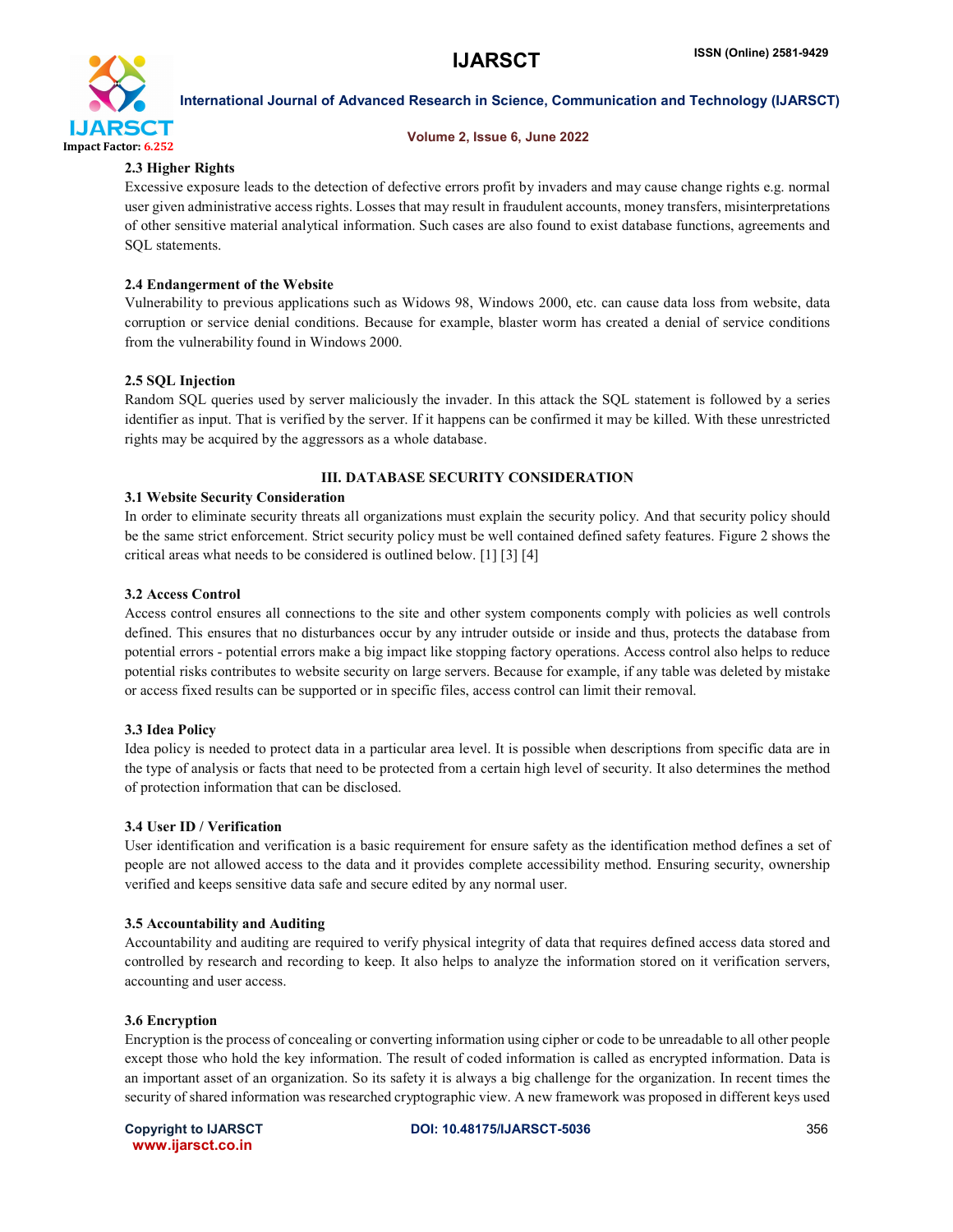

#### International Journal of Advanced Research in Science, Communication and Technology (IJARSCT)

#### Volume 2, Issue 6, June 2022

### 2.3 Higher Rights

Excessive exposure leads to the detection of defective errors profit by invaders and may cause change rights e.g. normal user given administrative access rights. Losses that may result in fraudulent accounts, money transfers, misinterpretations of other sensitive material analytical information. Such cases are also found to exist database functions, agreements and SQL statements.

#### 2.4 Endangerment of the Website

Vulnerability to previous applications such as Widows 98, Windows 2000, etc. can cause data loss from website, data corruption or service denial conditions. Because for example, blaster worm has created a denial of service conditions from the vulnerability found in Windows 2000.

#### 2.5 SQL Injection

Random SQL queries used by server maliciously the invader. In this attack the SQL statement is followed by a series identifier as input. That is verified by the server. If it happens can be confirmed it may be killed. With these unrestricted rights may be acquired by the aggressors as a whole database.

### III. DATABASE SECURITY CONSIDERATION

#### 3.1 Website Security Consideration

In order to eliminate security threats all organizations must explain the security policy. And that security policy should be the same strict enforcement. Strict security policy must be well contained defined safety features. Figure 2 shows the critical areas what needs to be considered is outlined below. [1] [3] [4]

#### 3.2 Access Control

Access control ensures all connections to the site and other system components comply with policies as well controls defined. This ensures that no disturbances occur by any intruder outside or inside and thus, protects the database from potential errors - potential errors make a big impact like stopping factory operations. Access control also helps to reduce potential risks contributes to website security on large servers. Because for example, if any table was deleted by mistake or access fixed results can be supported or in specific files, access control can limit their removal.

#### 3.3 Idea Policy

Idea policy is needed to protect data in a particular area level. It is possible when descriptions from specific data are in the type of analysis or facts that need to be protected from a certain high level of security. It also determines the method of protection information that can be disclosed.

#### 3.4 User ID / Verification

User identification and verification is a basic requirement for ensure safety as the identification method defines a set of people are not allowed access to the data and it provides complete accessibility method. Ensuring security, ownership verified and keeps sensitive data safe and secure edited by any normal user.

#### 3.5 Accountability and Auditing

Accountability and auditing are required to verify physical integrity of data that requires defined access data stored and controlled by research and recording to keep. It also helps to analyze the information stored on it verification servers, accounting and user access.

#### 3.6 Encryption

Encryption is the process of concealing or converting information using cipher or code to be unreadable to all other people except those who hold the key information. The result of coded information is called as encrypted information. Data is an important asset of an organization. So its safety it is always a big challenge for the organization. In recent times the security of shared information was researched cryptographic view. A new framework was proposed in different keys used

www.ijarsct.co.in